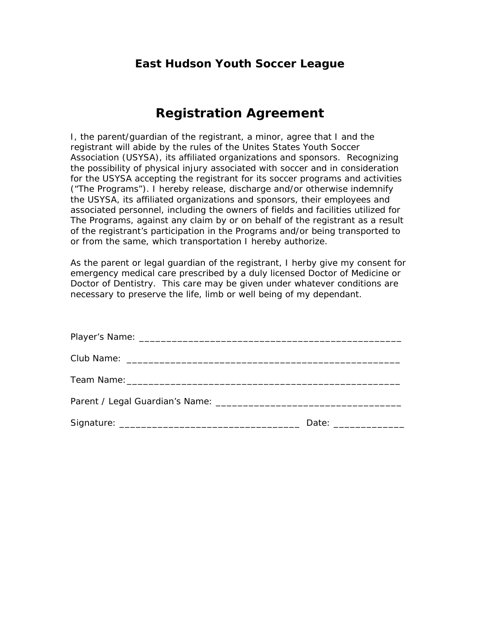## **East Hudson Youth Soccer League**

## **Registration Agreement**

I, the parent/guardian of the registrant, a minor, agree that I and the registrant will abide by the rules of the Unites States Youth Soccer Association (USYSA), its affiliated organizations and sponsors. Recognizing the possibility of physical injury associated with soccer and in consideration for the USYSA accepting the registrant for its soccer programs and activities ("The Programs"). I hereby release, discharge and/or otherwise indemnify the USYSA, its affiliated organizations and sponsors, their employees and associated personnel, including the owners of fields and facilities utilized for The Programs, against any claim by or on behalf of the registrant as a result of the registrant's participation in the Programs and/or being transported to or from the same, which transportation I hereby authorize.

As the parent or legal guardian of the registrant, I herby give my consent for emergency medical care prescribed by a duly licensed Doctor of Medicine or Doctor of Dentistry. This care may be given under whatever conditions are necessary to preserve the life, limb or well being of my dependant.